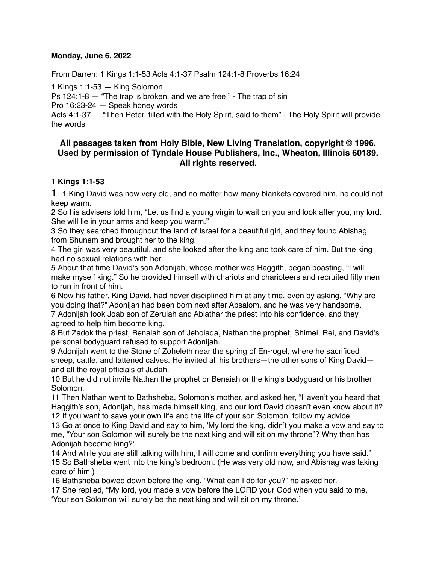#### **Monday, June 6, 2022**

From Darren: 1 Kings 1:1-53 Acts 4:1-37 Psalm 124:1-8 Proverbs 16:24

1 Kings 1:1-53 — King Solomon

Ps 124:1-8 — "The trap is broken, and we are free!" - The trap of sin

Pro 16:23-24 — Speak honey words

Acts 4:1-37 — "Then Peter, filled with the Holy Spirit, said to them" - The Holy Spirit will provide the words

## **All passages taken from Holy Bible, [New Living Translation](http://www.newlivingtranslation.com/), copyright © 1996. Used by permission of [Tyndale House Publishers](http://tyndale.com/), Inc., Wheaton, Illinois 60189. All rights reserved.**

### **1 Kings 1:1-53**

**1** 1 King David was now very old, and no matter how many blankets covered him, he could not keep warm.

2 So his advisers told him, "Let us find a young virgin to wait on you and look after you, my lord. She will lie in your arms and keep you warm."

3 So they searched throughout the land of Israel for a beautiful girl, and they found Abishag from Shunem and brought her to the king.

4 The girl was very beautiful, and she looked after the king and took care of him. But the king had no sexual relations with her.

5 About that time David's son Adonijah, whose mother was Haggith, began boasting, "I will make myself king." So he provided himself with chariots and charioteers and recruited fifty men to run in front of him.

6 Now his father, King David, had never disciplined him at any time, even by asking, "Why are you doing that?" Adonijah had been born next after Absalom, and he was very handsome. 7 Adonijah took Joab son of Zeruiah and Abiathar the priest into his confidence, and they agreed to help him become king.

8 But Zadok the priest, Benaiah son of Jehoiada, Nathan the prophet, Shimei, Rei, and David's personal bodyguard refused to support Adonijah.

9 Adonijah went to the Stone of Zoheleth near the spring of En-rogel, where he sacrificed sheep, cattle, and fattened calves. He invited all his brothers—the other sons of King David and all the royal officials of Judah.

10 But he did not invite Nathan the prophet or Benaiah or the king's bodyguard or his brother Solomon.

11 Then Nathan went to Bathsheba, Solomon's mother, and asked her, "Haven't you heard that Haggith's son, Adonijah, has made himself king, and our lord David doesn't even know about it? 12 If you want to save your own life and the life of your son Solomon, follow my advice.

13 Go at once to King David and say to him, 'My lord the king, didn't you make a vow and say to me, "Your son Solomon will surely be the next king and will sit on my throne"? Why then has Adonijah become king?'

14 And while you are still talking with him, I will come and confirm everything you have said." 15 So Bathsheba went into the king's bedroom. (He was very old now, and Abishag was taking care of him.)

16 Bathsheba bowed down before the king. "What can I do for you?" he asked her.

17 She replied, "My lord, you made a vow before the LORD your God when you said to me,

'Your son Solomon will surely be the next king and will sit on my throne.'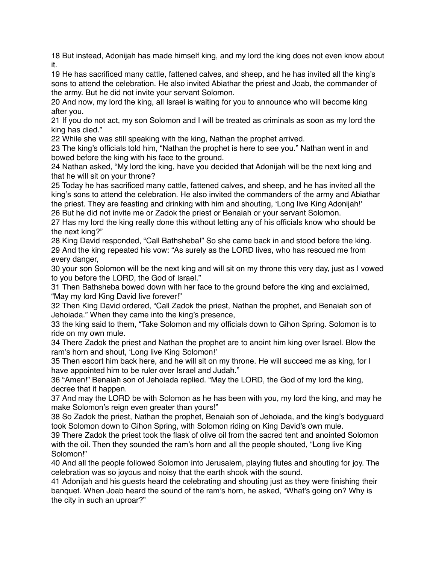18 But instead, Adonijah has made himself king, and my lord the king does not even know about it.

19 He has sacrificed many cattle, fattened calves, and sheep, and he has invited all the king's sons to attend the celebration. He also invited Abiathar the priest and Joab, the commander of the army. But he did not invite your servant Solomon.

20 And now, my lord the king, all Israel is waiting for you to announce who will become king after you.

21 If you do not act, my son Solomon and I will be treated as criminals as soon as my lord the king has died."

22 While she was still speaking with the king, Nathan the prophet arrived.

23 The king's officials told him, "Nathan the prophet is here to see you." Nathan went in and bowed before the king with his face to the ground.

24 Nathan asked, "My lord the king, have you decided that Adonijah will be the next king and that he will sit on your throne?

25 Today he has sacrificed many cattle, fattened calves, and sheep, and he has invited all the king's sons to attend the celebration. He also invited the commanders of the army and Abiathar the priest. They are feasting and drinking with him and shouting, 'Long live King Adonijah!' 26 But he did not invite me or Zadok the priest or Benaiah or your servant Solomon.

27 Has my lord the king really done this without letting any of his officials know who should be the next king?"

28 King David responded, "Call Bathsheba!" So she came back in and stood before the king. 29 And the king repeated his vow: "As surely as the LORD lives, who has rescued me from every danger,

30 your son Solomon will be the next king and will sit on my throne this very day, just as I vowed to you before the LORD, the God of Israel."

31 Then Bathsheba bowed down with her face to the ground before the king and exclaimed, "May my lord King David live forever!"

32 Then King David ordered, "Call Zadok the priest, Nathan the prophet, and Benaiah son of Jehoiada." When they came into the king's presence,

33 the king said to them, "Take Solomon and my officials down to Gihon Spring. Solomon is to ride on my own mule.

34 There Zadok the priest and Nathan the prophet are to anoint him king over Israel. Blow the ram's horn and shout, 'Long live King Solomon!'

35 Then escort him back here, and he will sit on my throne. He will succeed me as king, for I have appointed him to be ruler over Israel and Judah."

36 "Amen!" Benaiah son of Jehoiada replied. "May the LORD, the God of my lord the king, decree that it happen.

37 And may the LORD be with Solomon as he has been with you, my lord the king, and may he make Solomon's reign even greater than yours!"

38 So Zadok the priest, Nathan the prophet, Benaiah son of Jehoiada, and the king's bodyguard took Solomon down to Gihon Spring, with Solomon riding on King David's own mule.

39 There Zadok the priest took the flask of olive oil from the sacred tent and anointed Solomon with the oil. Then they sounded the ram's horn and all the people shouted, "Long live King Solomon!"

40 And all the people followed Solomon into Jerusalem, playing flutes and shouting for joy. The celebration was so joyous and noisy that the earth shook with the sound.

41 Adonijah and his guests heard the celebrating and shouting just as they were finishing their banquet. When Joab heard the sound of the ram's horn, he asked, "What's going on? Why is the city in such an uproar?"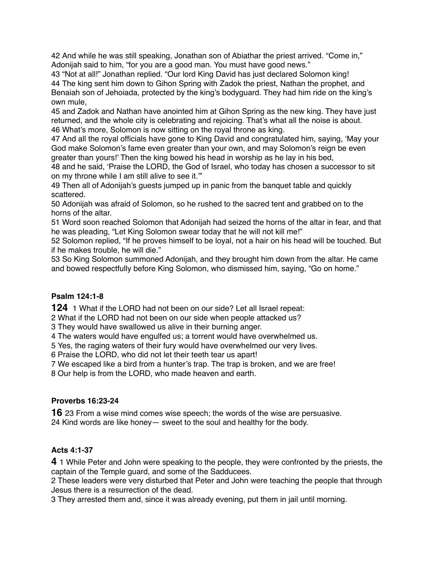42 And while he was still speaking, Jonathan son of Abiathar the priest arrived. "Come in," Adonijah said to him, "for you are a good man. You must have good news."

43 "Not at all!" Jonathan replied. "Our lord King David has just declared Solomon king! 44 The king sent him down to Gihon Spring with Zadok the priest, Nathan the prophet, and Benaiah son of Jehoiada, protected by the king's bodyguard. They had him ride on the king's own mule,

45 and Zadok and Nathan have anointed him at Gihon Spring as the new king. They have just returned, and the whole city is celebrating and rejoicing. That's what all the noise is about. 46 What's more, Solomon is now sitting on the royal throne as king.

47 And all the royal officials have gone to King David and congratulated him, saying, 'May your God make Solomon's fame even greater than your own, and may Solomon's reign be even greater than yours!' Then the king bowed his head in worship as he lay in his bed,

48 and he said, 'Praise the LORD, the God of Israel, who today has chosen a successor to sit on my throne while I am still alive to see it.'"

49 Then all of Adonijah's guests jumped up in panic from the banquet table and quickly scattered.

50 Adonijah was afraid of Solomon, so he rushed to the sacred tent and grabbed on to the horns of the altar.

51 Word soon reached Solomon that Adonijah had seized the horns of the altar in fear, and that he was pleading, "Let King Solomon swear today that he will not kill me!"

52 Solomon replied, "If he proves himself to be loyal, not a hair on his head will be touched. But if he makes trouble, he will die."

53 So King Solomon summoned Adonijah, and they brought him down from the altar. He came and bowed respectfully before King Solomon, who dismissed him, saying, "Go on home."

# **Psalm 124:1-8**

**124** 1 What if the LORD had not been on our side? Let all Israel repeat:

2 What if the LORD had not been on our side when people attacked us?

3 They would have swallowed us alive in their burning anger.

4 The waters would have engulfed us; a torrent would have overwhelmed us.

5 Yes, the raging waters of their fury would have overwhelmed our very lives.

6 Praise the LORD, who did not let their teeth tear us apart!

7 We escaped like a bird from a hunter's trap. The trap is broken, and we are free!

8 Our help is from the LORD, who made heaven and earth.

## **Proverbs 16:23-24**

**16** 23 From a wise mind comes wise speech; the words of the wise are persuasive. 24 Kind words are like honey— sweet to the soul and healthy for the body.

## **Acts 4:1-37**

**4** 1 While Peter and John were speaking to the people, they were confronted by the priests, the captain of the Temple guard, and some of the Sadducees.

2 These leaders were very disturbed that Peter and John were teaching the people that through Jesus there is a resurrection of the dead.

3 They arrested them and, since it was already evening, put them in jail until morning.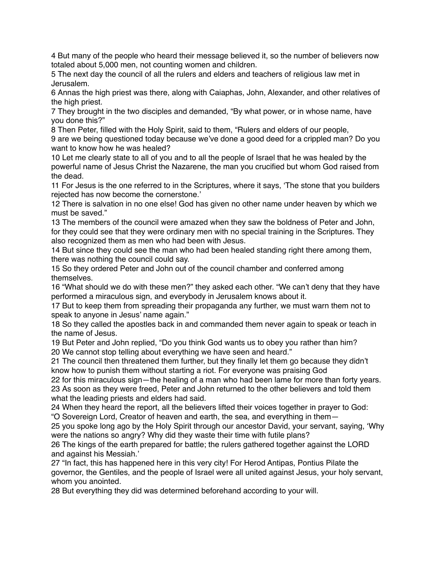4 But many of the people who heard their message believed it, so the number of believers now totaled about 5,000 men, not counting women and children.

5 The next day the council of all the rulers and elders and teachers of religious law met in Jerusalem.

6 Annas the high priest was there, along with Caiaphas, John, Alexander, and other relatives of the high priest.

7 They brought in the two disciples and demanded, "By what power, or in whose name, have you done this?"

8 Then Peter, filled with the Holy Spirit, said to them, "Rulers and elders of our people,

9 are we being questioned today because we've done a good deed for a crippled man? Do you want to know how he was healed?

10 Let me clearly state to all of you and to all the people of Israel that he was healed by the powerful name of Jesus Christ the Nazarene, the man you crucified but whom God raised from the dead.

11 For Jesus is the one referred to in the Scriptures, where it says, 'The stone that you builders rejected has now become the cornerstone.'

12 There is salvation in no one else! God has given no other name under heaven by which we must be saved."

13 The members of the council were amazed when they saw the boldness of Peter and John, for they could see that they were ordinary men with no special training in the Scriptures. They also recognized them as men who had been with Jesus.

14 But since they could see the man who had been healed standing right there among them, there was nothing the council could say.

15 So they ordered Peter and John out of the council chamber and conferred among themselves.

16 "What should we do with these men?" they asked each other. "We can't deny that they have performed a miraculous sign, and everybody in Jerusalem knows about it.

17 But to keep them from spreading their propaganda any further, we must warn them not to speak to anyone in Jesus' name again."

18 So they called the apostles back in and commanded them never again to speak or teach in the name of Jesus.

19 But Peter and John replied, "Do you think God wants us to obey you rather than him? 20 We cannot stop telling about everything we have seen and heard."

21 The council then threatened them further, but they finally let them go because they didn't know how to punish them without starting a riot. For everyone was praising God

22 for this miraculous sign—the healing of a man who had been lame for more than forty years. 23 As soon as they were freed, Peter and John returned to the other believers and told them what the leading priests and elders had said.

24 When they heard the report, all the believers lifted their voices together in prayer to God: "O Sovereign Lord, Creator of heaven and earth, the sea, and everything in them—

25 you spoke long ago by the Holy Spirit through our ancestor David, your servant, saying, 'Why were the nations so angry? Why did they waste their time with futile plans?

26 The kings of the earth prepared for battle; the rulers gathered together against the LORD and against his Messiah.'

27 "In fact, this has happened here in this very city! For Herod Antipas, Pontius Pilate the governor, the Gentiles, and the people of Israel were all united against Jesus, your holy servant, whom you anointed.

28 But everything they did was determined beforehand according to your will.